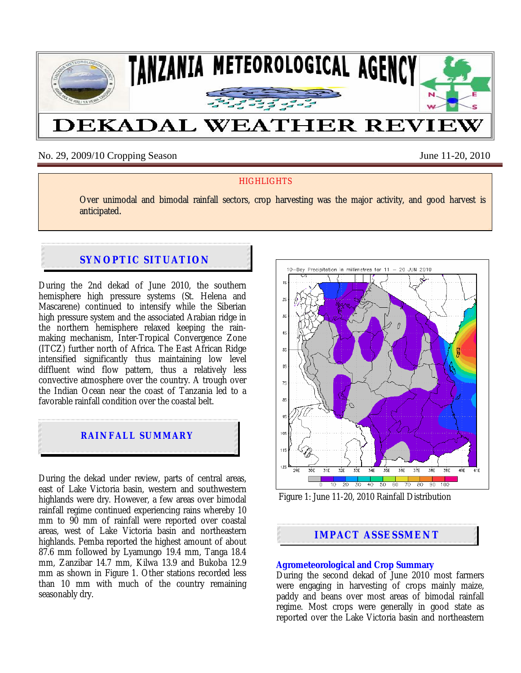

No. 29, 2009/10 Cropping Season June 11-20, 2010

## **HIGHLIGHTS**

Over unimodal and bimodal rainfall sectors, crop harvesting was the major activity, and good harvest is anticipated.

# **SYNOPTIC SITUATION**

During the 2nd dekad of June 2010, the southern hemisphere high pressure systems (St. Helena and Mascarene) continued to intensify while the Siberian high pressure system and the associated Arabian ridge in the northern hemisphere relaxed keeping the rainmaking mechanism, Inter-Tropical Convergence Zone (ITCZ) further north of Africa. The East African Ridge intensified significantly thus maintaining low level diffluent wind flow pattern, thus a relatively less convective atmosphere over the country. A trough over the Indian Ocean near the coast of Tanzania led to a favorable rainfall condition over the coastal belt.



During the dekad under review, parts of central areas, east of Lake Victoria basin, western and southwestern highlands were dry. However, a few areas over bimodal rainfall regime continued experiencing rains whereby 10 mm to 90 mm of rainfall were reported over coastal areas, west of Lake Victoria basin and northeastern highlands. Pemba reported the highest amount of about 87.6 mm followed by Lyamungo 19.4 mm, Tanga 18.4 mm, Zanzibar 14.7 mm, Kilwa 13.9 and Bukoba 12.9 mm as shown in Figure 1. Other stations recorded less than 10 mm with much of the country remaining seasonably dry.



Figure 1: June 11-20, 2010 Rainfall Distribution

# **IMPACT ASSESSMENT**

# **Agrometeorological and Crop Summary**

During the second dekad of June 2010 most farmers were engaging in harvesting of crops mainly maize, paddy and beans over most areas of bimodal rainfall regime. Most crops were generally in good state as reported over the Lake Victoria basin and northeastern